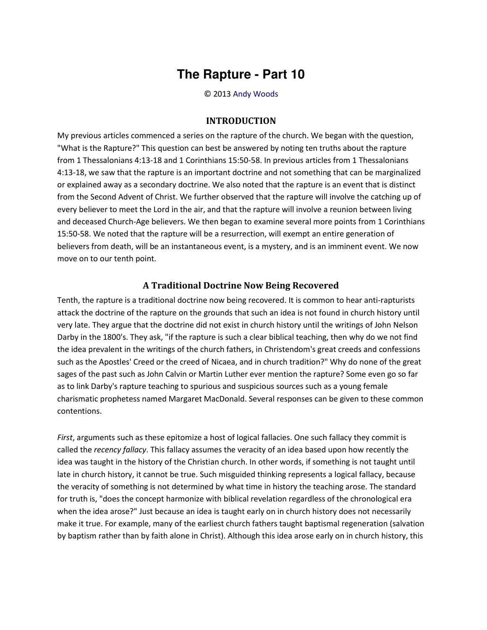## **The Rapture - Part 10**

© 2013 [Andy Woods](http://www.spiritandtruth.org/id/aw.htm)

## **INTRODUCTION**

My previous articles commenced a series on the rapture of the church. We began with the question, "What is the Rapture?" This question can best be answered by noting ten truths about the rapture from 1 Thessalonians 4:13-18 and 1 Corinthians 15:50-58. In previous articles from 1 Thessalonians 4:13-18, we saw that the rapture is an important doctrine and not something that can be marginalized or explained away as a secondary doctrine. We also noted that the rapture is an event that is distinct from the Second Advent of Christ. We further observed that the rapture will involve the catching up of every believer to meet the Lord in the air, and that the rapture will involve a reunion between living and deceased Church-Age believers. We then began to examine several more points from 1 Corinthians 15:50-58. We noted that the rapture will be a resurrection, will exempt an entire generation of believers from death, will be an instantaneous event, is a mystery, and is an imminent event. We now move on to our tenth point.

## **A Traditional Doctrine Now Being Recovered**

Tenth, the rapture is a traditional doctrine now being recovered. It is common to hear anti-rapturists attack the doctrine of the rapture on the grounds that such an idea is not found in church history until very late. They argue that the doctrine did not exist in church history until the writings of John Nelson Darby in the 1800's. They ask, "if the rapture is such a clear biblical teaching, then why do we not find the idea prevalent in the writings of the church fathers, in Christendom's great creeds and confessions such as the Apostles' Creed or the creed of Nicaea, and in church tradition?" Why do none of the great sages of the past such as John Calvin or Martin Luther ever mention the rapture? Some even go so far as to link Darby's rapture teaching to spurious and suspicious sources such as a young female charismatic prophetess named Margaret MacDonald. Several responses can be given to these common contentions.

*First*, arguments such as these epitomize a host of logical fallacies. One such fallacy they commit is called the *recency fallacy*. This fallacy assumes the veracity of an idea based upon how recently the idea was taught in the history of the Christian church. In other words, if something is not taught until late in church history, it cannot be true. Such misguided thinking represents a logical fallacy, because the veracity of something is not determined by what time in history the teaching arose. The standard for truth is, "does the concept harmonize with biblical revelation regardless of the chronological era when the idea arose?" Just because an idea is taught early on in church history does not necessarily make it true. For example, many of the earliest church fathers taught baptismal regeneration (salvation by baptism rather than by faith alone in Christ). Although this idea arose early on in church history, this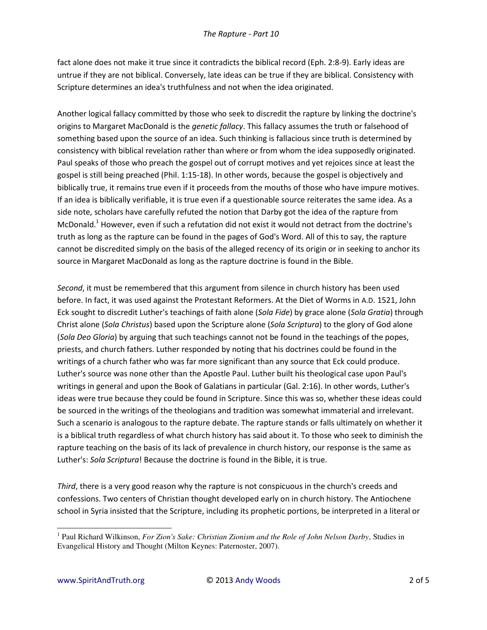fact alone does not make it true since it contradicts the biblical record (Eph. 2:8-9). Early ideas are untrue if they are not biblical. Conversely, late ideas can be true if they are biblical. Consistency with Scripture determines an idea's truthfulness and not when the idea originated.

Another logical fallacy committed by those who seek to discredit the rapture by linking the doctrine's origins to Margaret MacDonald is the *genetic fallacy*. This fallacy assumes the truth or falsehood of something based upon the source of an idea. Such thinking is fallacious since truth is determined by consistency with biblical revelation rather than where or from whom the idea supposedly originated. Paul speaks of those who preach the gospel out of corrupt motives and yet rejoices since at least the gospel is still being preached (Phil. 1:15-18). In other words, because the gospel is objectively and biblically true, it remains true even if it proceeds from the mouths of those who have impure motives. If an idea is biblically verifiable, it is true even if a questionable source reiterates the same idea. As a side note, scholars have carefully refuted the notion that Darby got the idea of the rapture from McDonald.<sup>1</sup> However, even if such a refutation did not exist it would not detract from the doctrine's truth as long as the rapture can be found in the pages of God's Word. All of this to say, the rapture cannot be discredited simply on the basis of the alleged recency of its origin or in seeking to anchor its source in Margaret MacDonald as long as the rapture doctrine is found in the Bible.

*Second*, it must be remembered that this argument from silence in church history has been used before. In fact, it was used against the Protestant Reformers. At the Diet of Worms in A.D. 1521, John Eck sought to discredit Luther's teachings of faith alone (*Sola Fide*) by grace alone (*Sola Gratia*) through Christ alone (*Sola Christus*) based upon the Scripture alone (*Sola Scriptura*) to the glory of God alone (*Sola Deo Gloria*) by arguing that such teachings cannot not be found in the teachings of the popes, priests, and church fathers. Luther responded by noting that his doctrines could be found in the writings of a church father who was far more significant than any source that Eck could produce. Luther's source was none other than the Apostle Paul. Luther built his theological case upon Paul's writings in general and upon the Book of Galatians in particular (Gal. 2:16). In other words, Luther's ideas were true because they could be found in Scripture. Since this was so, whether these ideas could be sourced in the writings of the theologians and tradition was somewhat immaterial and irrelevant. Such a scenario is analogous to the rapture debate. The rapture stands or falls ultimately on whether it is a biblical truth regardless of what church history has said about it. To those who seek to diminish the rapture teaching on the basis of its lack of prevalence in church history, our response is the same as Luther's: *Sola Scriptura*! Because the doctrine is found in the Bible, it is true.

*Third*, there is a very good reason why the rapture is not conspicuous in the church's creeds and confessions. Two centers of Christian thought developed early on in church history. The Antiochene school in Syria insisted that the Scripture, including its prophetic portions, be interpreted in a literal or

 $\overline{\phantom{0}}$ 

<sup>&</sup>lt;sup>1</sup> Paul Richard Wilkinson, *For Zion's Sake: Christian Zionism and the Role of John Nelson Darby*, Studies in Evangelical History and Thought (Milton Keynes: Paternoster, 2007).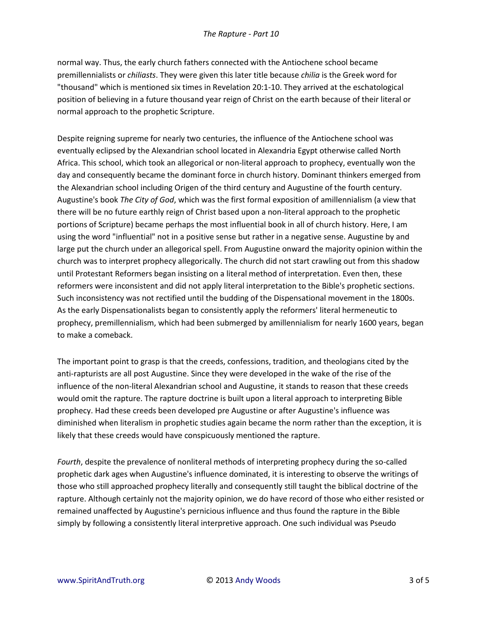normal way. Thus, the early church fathers connected with the Antiochene school became premillennialists or *chiliasts*. They were given this later title because *chilia* is the Greek word for "thousand" which is mentioned six times in Revelation 20:1-10. They arrived at the eschatological position of believing in a future thousand year reign of Christ on the earth because of their literal or normal approach to the prophetic Scripture.

Despite reigning supreme for nearly two centuries, the influence of the Antiochene school was eventually eclipsed by the Alexandrian school located in Alexandria Egypt otherwise called North Africa. This school, which took an allegorical or non-literal approach to prophecy, eventually won the day and consequently became the dominant force in church history. Dominant thinkers emerged from the Alexandrian school including Origen of the third century and Augustine of the fourth century. Augustine's book *The City of God*, which was the first formal exposition of amillennialism (a view that there will be no future earthly reign of Christ based upon a non-literal approach to the prophetic portions of Scripture) became perhaps the most influential book in all of church history. Here, I am using the word "influential" not in a positive sense but rather in a negative sense. Augustine by and large put the church under an allegorical spell. From Augustine onward the majority opinion within the church was to interpret prophecy allegorically. The church did not start crawling out from this shadow until Protestant Reformers began insisting on a literal method of interpretation. Even then, these reformers were inconsistent and did not apply literal interpretation to the Bible's prophetic sections. Such inconsistency was not rectified until the budding of the Dispensational movement in the 1800s. As the early Dispensationalists began to consistently apply the reformers' literal hermeneutic to prophecy, premillennialism, which had been submerged by amillennialism for nearly 1600 years, began to make a comeback.

The important point to grasp is that the creeds, confessions, tradition, and theologians cited by the anti-rapturists are all post Augustine. Since they were developed in the wake of the rise of the influence of the non-literal Alexandrian school and Augustine, it stands to reason that these creeds would omit the rapture. The rapture doctrine is built upon a literal approach to interpreting Bible prophecy. Had these creeds been developed pre Augustine or after Augustine's influence was diminished when literalism in prophetic studies again became the norm rather than the exception, it is likely that these creeds would have conspicuously mentioned the rapture.

*Fourth*, despite the prevalence of nonliteral methods of interpreting prophecy during the so-called prophetic dark ages when Augustine's influence dominated, it is interesting to observe the writings of those who still approached prophecy literally and consequently still taught the biblical doctrine of the rapture. Although certainly not the majority opinion, we do have record of those who either resisted or remained unaffected by Augustine's pernicious influence and thus found the rapture in the Bible simply by following a consistently literal interpretive approach. One such individual was Pseudo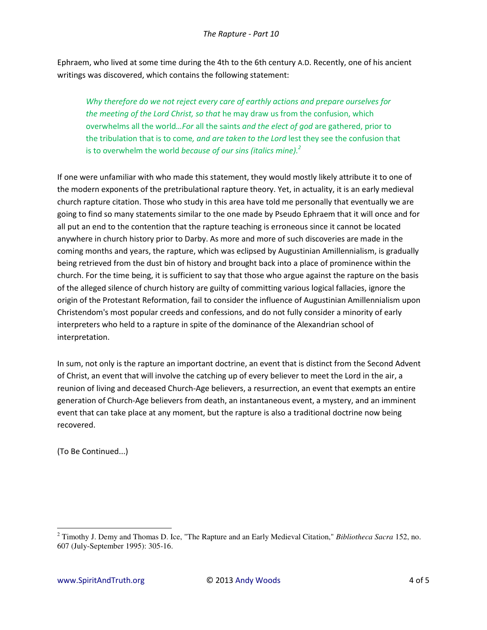Ephraem, who lived at some time during the 4th to the 6th century A.D. Recently, one of his ancient writings was discovered, which contains the following statement:

*Why therefore do we not reject every care of earthly actions and prepare ourselves for the meeting of the Lord Christ, so that* he may draw us from the confusion, which overwhelms all the world*…For* all the saints *and the elect of god* are gathered, prior to the tribulation that is to come*, and are taken to the Lord* lest they see the confusion that is to overwhelm the world *because of our sins (italics mine).<sup>2</sup>*

If one were unfamiliar with who made this statement, they would mostly likely attribute it to one of the modern exponents of the pretribulational rapture theory. Yet, in actuality, it is an early medieval church rapture citation. Those who study in this area have told me personally that eventually we are going to find so many statements similar to the one made by Pseudo Ephraem that it will once and for all put an end to the contention that the rapture teaching is erroneous since it cannot be located anywhere in church history prior to Darby. As more and more of such discoveries are made in the coming months and years, the rapture, which was eclipsed by Augustinian Amillennialism, is gradually being retrieved from the dust bin of history and brought back into a place of prominence within the church. For the time being, it is sufficient to say that those who argue against the rapture on the basis of the alleged silence of church history are guilty of committing various logical fallacies, ignore the origin of the Protestant Reformation, fail to consider the influence of Augustinian Amillennialism upon Christendom's most popular creeds and confessions, and do not fully consider a minority of early interpreters who held to a rapture in spite of the dominance of the Alexandrian school of interpretation.

In sum, not only is the rapture an important doctrine, an event that is distinct from the Second Advent of Christ, an event that will involve the catching up of every believer to meet the Lord in the air, a reunion of living and deceased Church-Age believers, a resurrection, an event that exempts an entire generation of Church-Age believers from death, an instantaneous event, a mystery, and an imminent event that can take place at any moment, but the rapture is also a traditional doctrine now being recovered.

(To Be Continued...)

 $\overline{\phantom{0}}$ 

<sup>2</sup> Timothy J. Demy and Thomas D. Ice, "The Rapture and an Early Medieval Citation," *Bibliotheca Sacra* 152, no. 607 (July-September 1995): 305-16.